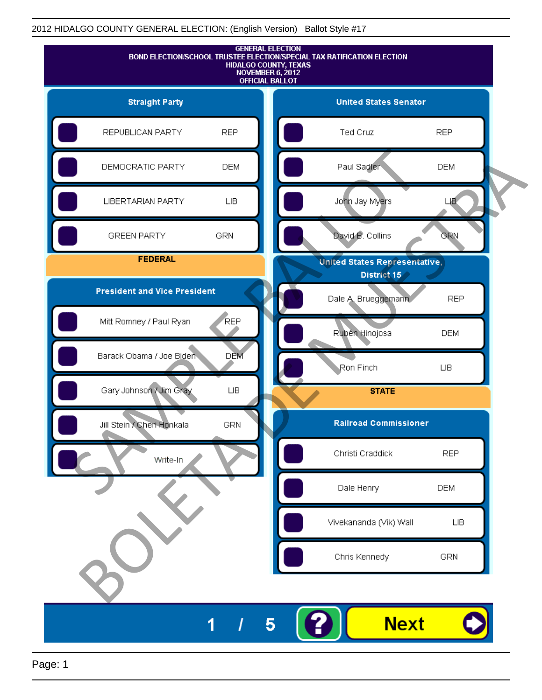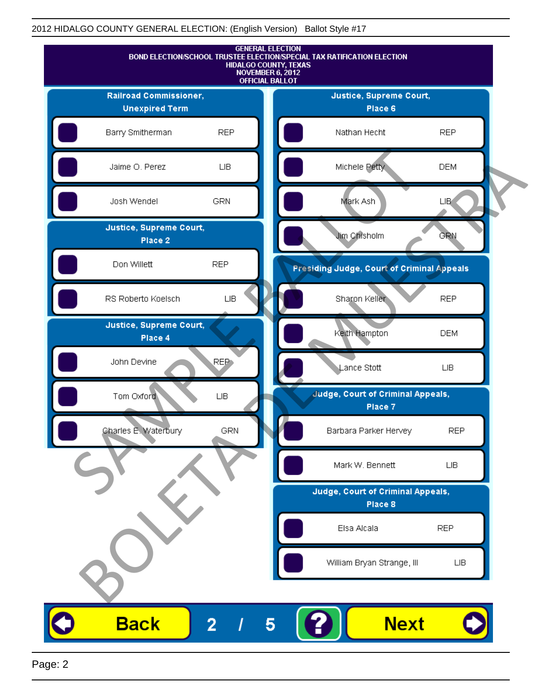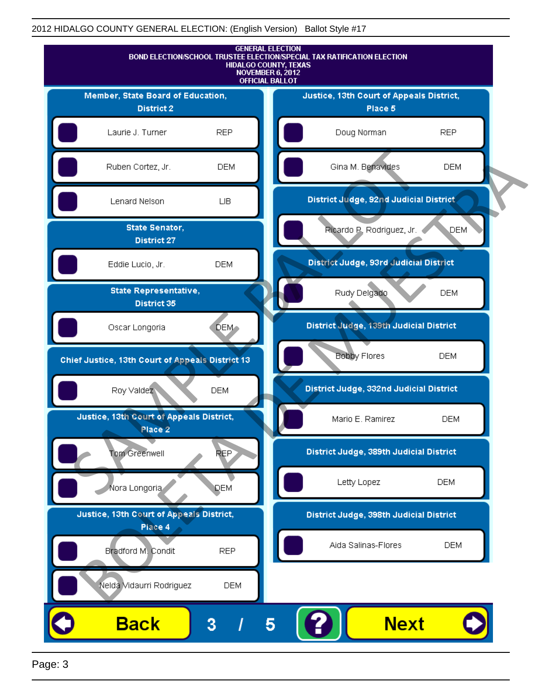

Page: 3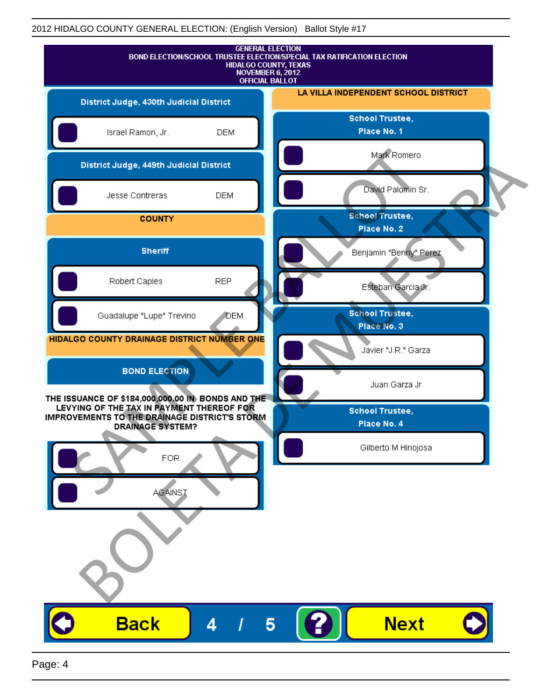| <b>GENERAL ELECTION</b><br>BOND ELECTION/SCHOOL TRUSTEE ELECTION/SPECIAL TAX RATIFICATION ELECTION<br>HIDALGO COUNTY, TEXAS<br>NOVEMBER 6, 2012<br><b>OFFICIAL BALLOT</b>         |            |                                       |  |
|-----------------------------------------------------------------------------------------------------------------------------------------------------------------------------------|------------|---------------------------------------|--|
| District Judge, 430th Judicial District                                                                                                                                           |            | LA VILLA INDEPENDENT SCHOOL DISTRICT  |  |
| Israel Ramon, Jr.                                                                                                                                                                 | <b>DEM</b> | <b>School Trustee,</b><br>Place No. 1 |  |
| District Judge, 449th Judicial District                                                                                                                                           |            | Mark Romero                           |  |
| Jesse Contreras                                                                                                                                                                   | <b>DEM</b> | David Palomin Sr.                     |  |
| <b>COUNTY</b>                                                                                                                                                                     |            | <b>School Trustee,</b><br>Place No. 2 |  |
| <b>Sheriff</b>                                                                                                                                                                    |            | Benjamin "Benny" Perez                |  |
| Robert Caples                                                                                                                                                                     | <b>REP</b> | Esteban Garcia Jr.                    |  |
| Guadalupe "Lupe" Trevino                                                                                                                                                          | <b>DEM</b> | <b>School Trustee,</b><br>Place No. 3 |  |
| HIDALGO COUNTY DRAINAGE DISTRICT NUMBER ONE                                                                                                                                       |            | Javier "J.R." Garza                   |  |
| <b>BOND ELECTION</b>                                                                                                                                                              |            | Juan Garza Jr                         |  |
| THE ISSUANCE OF \$184,000,000.00 IN BONDS AND THE<br>LEVYING OF THE TAX IN PAYMENT THEREOF FOR<br><b>IMPROVEMENTS TO THE DRAINAGE DISTRICT'S STORM</b><br><b>DRAINAGE SYSTEM?</b> |            | <b>School Trustee,</b><br>Place No. 4 |  |
| <b>FOR</b>                                                                                                                                                                        |            | Gilberto M Hinojosa                   |  |
| <b>AGAINST</b>                                                                                                                                                                    |            |                                       |  |
|                                                                                                                                                                                   |            |                                       |  |
| <b>Back</b>                                                                                                                                                                       | 4          | <b>Next</b><br>5                      |  |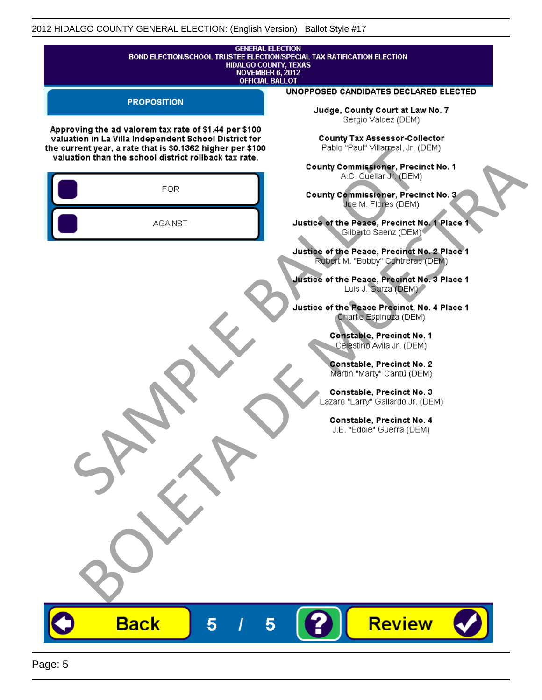| <b>GENERAL ELECTION</b><br>BOND ELECTION/SCHOOL TRUSTEE ELECTION/SPECIAL TAX RATIFICATION ELECTION<br><b>HIDALGO COUNTY, TEXAS</b><br><b>NOVEMBER 6, 2012</b><br><b>OFFICIAL BALLOT</b> |                                                                                                      |  |  |
|-----------------------------------------------------------------------------------------------------------------------------------------------------------------------------------------|------------------------------------------------------------------------------------------------------|--|--|
| <b>PROPOSITION</b>                                                                                                                                                                      | UNOPPOSED CANDIDATES DECLARED ELECTED                                                                |  |  |
| Approving the ad valorem tax rate of \$1.44 per \$100                                                                                                                                   | Judge, County Court at Law No. 7<br>Sergio Valdez (DEM)                                              |  |  |
| valuation in La Villa Independent School District for<br>the current year, a rate that is \$0.1362 higher per \$100<br>valuation than the school district rollback tax rate.            | <b>County Tax Assessor-Collector</b><br>Pablo "Paul" Villagreal, Jr. (DEM)                           |  |  |
| <b>FOR</b>                                                                                                                                                                              | County Commissioner, Precinct No. 1<br>A.C. Cuellar Jr. (DEM)<br>County Commissioner, Precinct No. 3 |  |  |
| <b>AGAINST</b>                                                                                                                                                                          | Joe M. Flores (DEM)<br>Justice of the Peace, Precinct No. 1 Place 1<br>Gilberto Saenz (DEM)          |  |  |
|                                                                                                                                                                                         | Justice of the Peace, Precinct No. 2 Place 1<br>Robert M. "Bobby" Contreras (DEM)                    |  |  |
|                                                                                                                                                                                         | Justice of the Peace, Precinct No. 3 Place 1<br>Luis J. Garza (DEM)                                  |  |  |
|                                                                                                                                                                                         | Justice of the Peace Precinct, No. 4 Place 1<br>Charlie Espingza (DEM)                               |  |  |
|                                                                                                                                                                                         | Constable, Precinct No. 1<br>Celestino Avila Jr. (DEM)                                               |  |  |
|                                                                                                                                                                                         | Constable, Precinct No. 2<br>Martin "Marty" Cantú (DEM)<br>Constable, Precinct No. 3                 |  |  |
|                                                                                                                                                                                         | Lazaro "Larry" Gallardo Jr. (DEM)<br>Constable, Precinct No. 4                                       |  |  |
|                                                                                                                                                                                         | J.E. "Eddie" Guerra (DEM)                                                                            |  |  |
|                                                                                                                                                                                         |                                                                                                      |  |  |
|                                                                                                                                                                                         |                                                                                                      |  |  |
|                                                                                                                                                                                         |                                                                                                      |  |  |
|                                                                                                                                                                                         |                                                                                                      |  |  |
|                                                                                                                                                                                         |                                                                                                      |  |  |
| <b>Back</b><br>5                                                                                                                                                                        | <b>Review</b><br>5                                                                                   |  |  |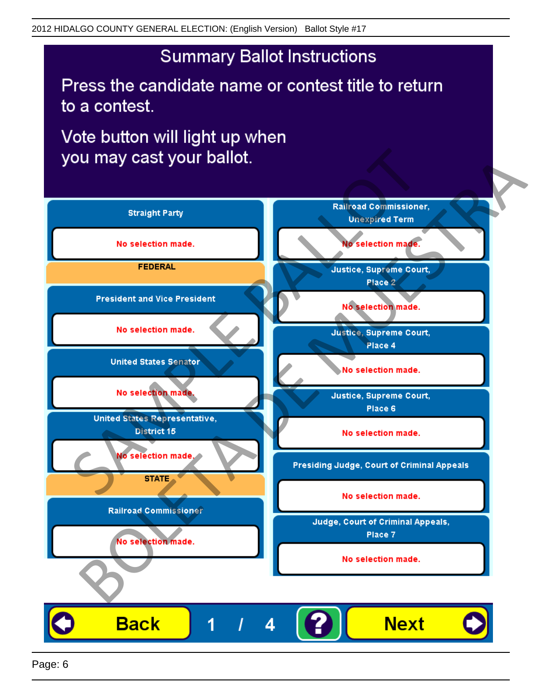Press the candidate name or contest title to return to a contest.

Vote button will light up when

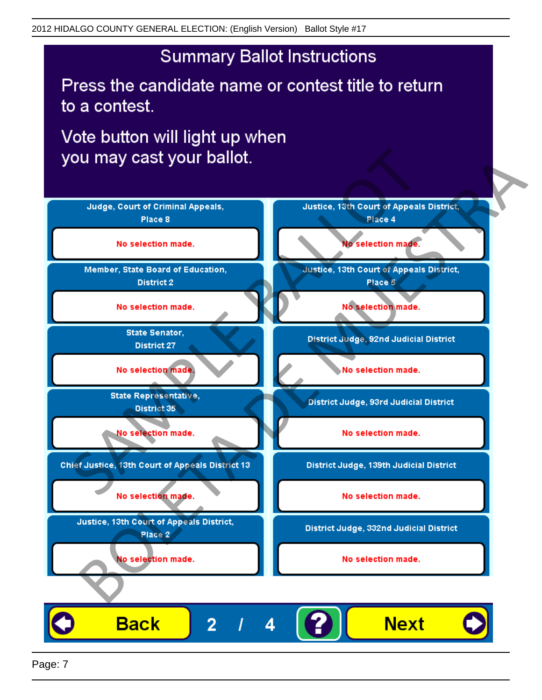Press the candidate name or contest title to return to a contest.

Vote button will light up when



Page: 7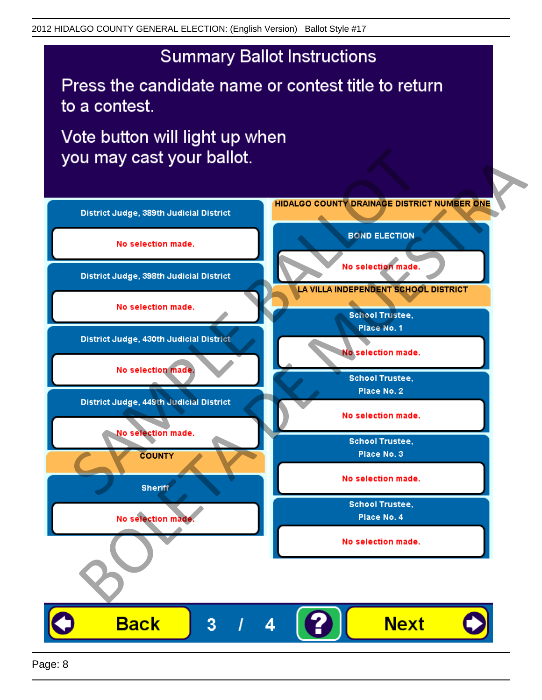Press the candidate name or contest title to return to a contest.

Vote button will light up when